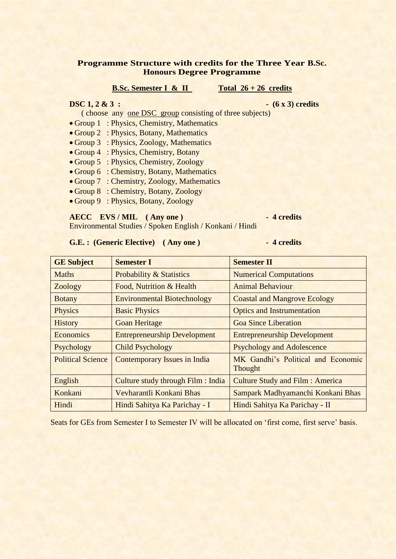### **Programme Structure with credits for the Three Year B.Sc. Honours Degree Programme**

### **B.Sc. Semester I & II** Total  $26 + 26$  credits

### **DSC 1, 2 & 3 :**  $(6 \times 3)$  credits

- ( choose any one DSC group consisting of three subjects)
- Group 1 : Physics, Chemistry, Mathematics
- Group 2 : Physics, Botany, Mathematics
- Group 3 : Physics, Zoology, Mathematics
- Group 4 : Physics, Chemistry, Botany
- Group 5 : Physics, Chemistry, Zoology
- Group 6 : Chemistry, Botany, Mathematics
- Group 7 : Chemistry, Zoology, Mathematics
- Group 8 : Chemistry, Botany, Zoology
- Group 9 : Physics, Botany, Zoology

### **AECC EVS/MIL (Any one)** - 4 credits

Environmental Studies / Spoken English / Konkani / Hindi

### G.E.: (Generic Elective) (Any one ) 4 credits

| <b>GE Subject</b>        | <b>Semester I</b>                   | <b>Semester II</b>                            |  |
|--------------------------|-------------------------------------|-----------------------------------------------|--|
| Maths                    | <b>Probability &amp; Statistics</b> | <b>Numerical Computations</b>                 |  |
| Zoology                  | Food, Nutrition & Health            | <b>Animal Behaviour</b>                       |  |
| <b>Botany</b>            | <b>Environmental Biotechnology</b>  | <b>Coastal and Mangrove Ecology</b>           |  |
| <b>Physics</b>           | <b>Basic Physics</b>                | <b>Optics and Instrumentation</b>             |  |
| <b>History</b>           | <b>Goan Heritage</b>                | <b>Goa Since Liberation</b>                   |  |
| Economics                | <b>Entrepreneurship Development</b> | <b>Entrepreneurship Development</b>           |  |
| Psychology               | <b>Child Psychology</b>             | <b>Psychology and Adolescence</b>             |  |
| <b>Political Science</b> | <b>Contemporary Issues in India</b> | MK Gandhi's Political and Economic<br>Thought |  |
| English                  | Culture study through Film : India  | <b>Culture Study and Film: America</b>        |  |
| Konkani                  | Vevharantli Konkani Bhas            | Sampark Madhyamanchi Konkani Bhas             |  |
| Hindi                    | Hindi Sahitya Ka Parichay - I       | Hindi Sahitya Ka Parichay - II                |  |

Seats for GEs from Semester I to Semester IV will be allocated on 'first come, first serve' basis.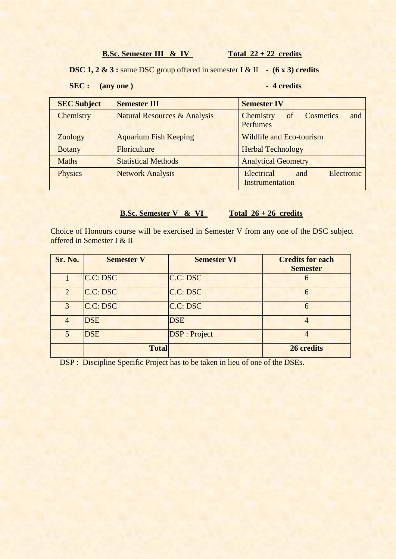**B.Sc. Semester III & IV** Total  $22 + 22$  credits

**DSC 1, 2 & 3 :** same DSC group offered in semester I & II **- (6 x 3) credits** 

## **SEC :** (any one) 4 credits

| <b>SEC Subject</b> | <b>Semester III</b>                     | <b>Semester IV</b>                                     |  |  |
|--------------------|-----------------------------------------|--------------------------------------------------------|--|--|
| Chemistry          | <b>Natural Resources &amp; Analysis</b> | <b>Cosmetics</b><br>Chemistry<br>of<br>and<br>Perfumes |  |  |
| Zoology            | <b>Aquarium Fish Keeping</b>            | <b>Wildlife and Eco-tourism</b>                        |  |  |
| <b>Botany</b>      | Floriculture                            | <b>Herbal Technology</b>                               |  |  |
| <b>Maths</b>       | <b>Statistical Methods</b>              | <b>Analytical Geometry</b>                             |  |  |
| Physics            | <b>Network Analysis</b>                 | Electronic<br>Electrical<br>and<br>Instrumentation     |  |  |

## **B.Sc. Semester V & VI** Total 26 + 26 credits

Choice of Honours course will be exercised in Semester V from any one of the DSC subject offered in Semester I & II

| <b>Sr. No.</b> | <b>Semester V</b> | <b>Semester VI</b>   | <b>Credits for each</b><br><b>Semester</b> |
|----------------|-------------------|----------------------|--------------------------------------------|
|                | C.C: DSC          | C.C: DSC             | 6                                          |
| $\overline{2}$ | C.C: DSC          | C.C: DSC             | 6                                          |
| 3              | C.C: DSC          | C.C: DSC             | 6                                          |
| $\overline{4}$ | <b>DSE</b>        | <b>DSE</b>           | $\overline{4}$                             |
| 5              | <b>DSE</b>        | <b>DSP</b> : Project | 4                                          |
|                | <b>Total</b>      |                      | 26 credits                                 |

DSP : Discipline Specific Project has to be taken in lieu of one of the DSEs.